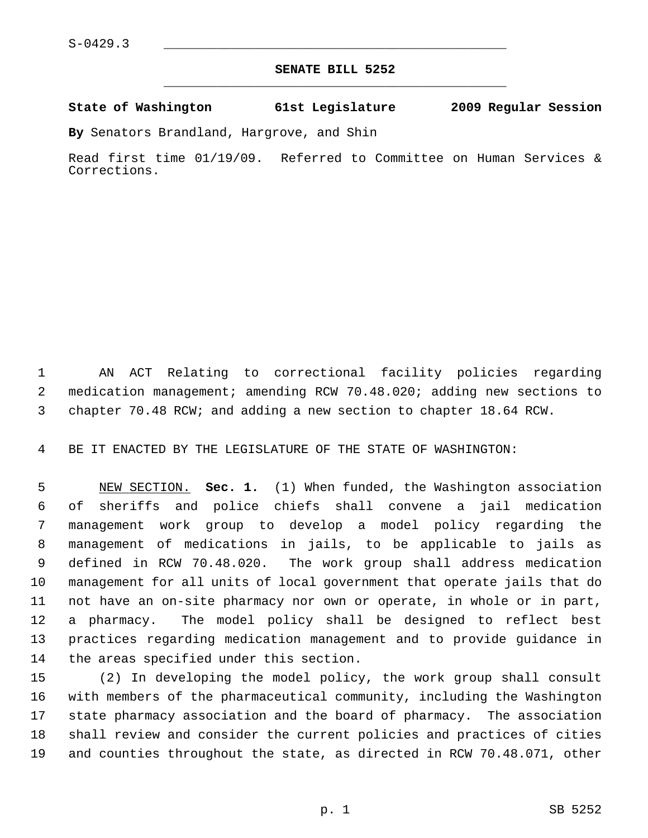## **SENATE BILL 5252** \_\_\_\_\_\_\_\_\_\_\_\_\_\_\_\_\_\_\_\_\_\_\_\_\_\_\_\_\_\_\_\_\_\_\_\_\_\_\_\_\_\_\_\_\_

## **State of Washington 61st Legislature 2009 Regular Session**

**By** Senators Brandland, Hargrove, and Shin

Read first time 01/19/09. Referred to Committee on Human Services & Corrections.

 1 AN ACT Relating to correctional facility policies regarding 2 medication management; amending RCW 70.48.020; adding new sections to 3 chapter 70.48 RCW; and adding a new section to chapter 18.64 RCW.

4 BE IT ENACTED BY THE LEGISLATURE OF THE STATE OF WASHINGTON:

 5 NEW SECTION. **Sec. 1.** (1) When funded, the Washington association 6 of sheriffs and police chiefs shall convene a jail medication 7 management work group to develop a model policy regarding the 8 management of medications in jails, to be applicable to jails as 9 defined in RCW 70.48.020. The work group shall address medication 10 management for all units of local government that operate jails that do 11 not have an on-site pharmacy nor own or operate, in whole or in part, 12 a pharmacy. The model policy shall be designed to reflect best 13 practices regarding medication management and to provide guidance in 14 the areas specified under this section.

15 (2) In developing the model policy, the work group shall consult 16 with members of the pharmaceutical community, including the Washington 17 state pharmacy association and the board of pharmacy. The association 18 shall review and consider the current policies and practices of cities 19 and counties throughout the state, as directed in RCW 70.48.071, other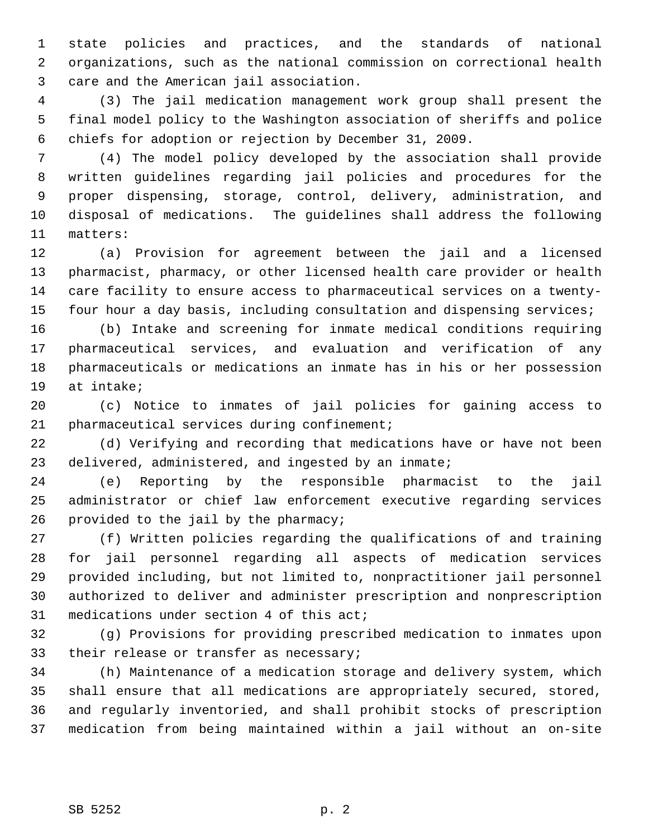1 state policies and practices, and the standards of national 2 organizations, such as the national commission on correctional health 3 care and the American jail association.

 4 (3) The jail medication management work group shall present the 5 final model policy to the Washington association of sheriffs and police 6 chiefs for adoption or rejection by December 31, 2009.

 7 (4) The model policy developed by the association shall provide 8 written guidelines regarding jail policies and procedures for the 9 proper dispensing, storage, control, delivery, administration, and 10 disposal of medications. The guidelines shall address the following 11 matters:

12 (a) Provision for agreement between the jail and a licensed 13 pharmacist, pharmacy, or other licensed health care provider or health 14 care facility to ensure access to pharmaceutical services on a twenty-15 four hour a day basis, including consultation and dispensing services;

16 (b) Intake and screening for inmate medical conditions requiring 17 pharmaceutical services, and evaluation and verification of any 18 pharmaceuticals or medications an inmate has in his or her possession 19 at intake;

20 (c) Notice to inmates of jail policies for gaining access to 21 pharmaceutical services during confinement;

22 (d) Verifying and recording that medications have or have not been 23 delivered, administered, and ingested by an inmate;

24 (e) Reporting by the responsible pharmacist to the jail 25 administrator or chief law enforcement executive regarding services 26 provided to the jail by the pharmacy;

27 (f) Written policies regarding the qualifications of and training 28 for jail personnel regarding all aspects of medication services 29 provided including, but not limited to, nonpractitioner jail personnel 30 authorized to deliver and administer prescription and nonprescription 31 medications under section 4 of this act;

32 (g) Provisions for providing prescribed medication to inmates upon 33 their release or transfer as necessary;

34 (h) Maintenance of a medication storage and delivery system, which 35 shall ensure that all medications are appropriately secured, stored, 36 and regularly inventoried, and shall prohibit stocks of prescription 37 medication from being maintained within a jail without an on-site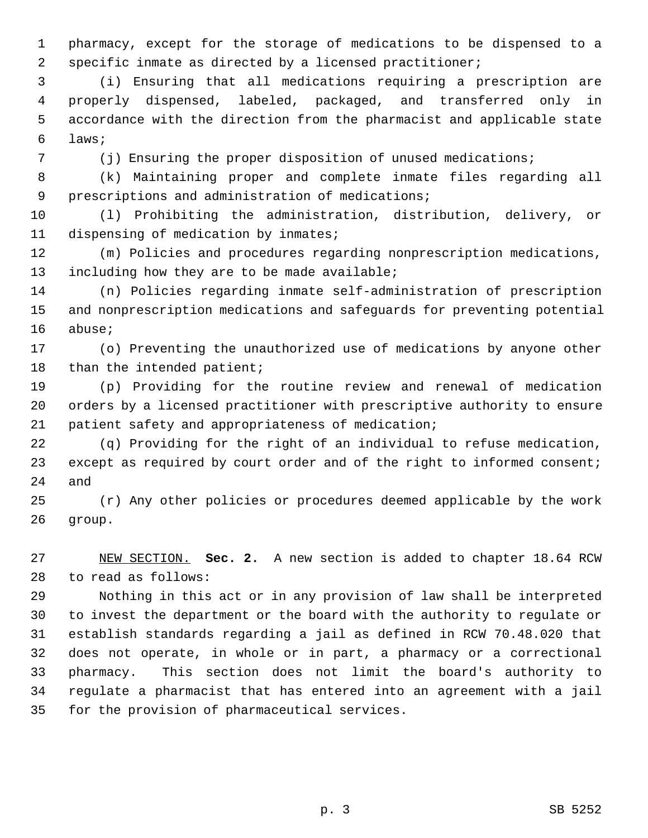1 pharmacy, except for the storage of medications to be dispensed to a 2 specific inmate as directed by a licensed practitioner;

 3 (i) Ensuring that all medications requiring a prescription are 4 properly dispensed, labeled, packaged, and transferred only in 5 accordance with the direction from the pharmacist and applicable state 6 laws;

7 (i) Ensuring the proper disposition of unused medications;

 8 (k) Maintaining proper and complete inmate files regarding all 9 prescriptions and administration of medications;

10 (l) Prohibiting the administration, distribution, delivery, or 11 dispensing of medication by inmates;

12 (m) Policies and procedures regarding nonprescription medications, 13 including how they are to be made available;

14 (n) Policies regarding inmate self-administration of prescription 15 and nonprescription medications and safeguards for preventing potential 16 abuse;

17 (o) Preventing the unauthorized use of medications by anyone other 18 than the intended patient;

19 (p) Providing for the routine review and renewal of medication 20 orders by a licensed practitioner with prescriptive authority to ensure 21 patient safety and appropriateness of medication;

22 (q) Providing for the right of an individual to refuse medication, 23 except as required by court order and of the right to informed consent; 24 and

25 (r) Any other policies or procedures deemed applicable by the work 26 group.

27 NEW SECTION. **Sec. 2.** A new section is added to chapter 18.64 RCW 28 to read as follows:

29 Nothing in this act or in any provision of law shall be interpreted 30 to invest the department or the board with the authority to regulate or 31 establish standards regarding a jail as defined in RCW 70.48.020 that 32 does not operate, in whole or in part, a pharmacy or a correctional 33 pharmacy. This section does not limit the board's authority to 34 regulate a pharmacist that has entered into an agreement with a jail 35 for the provision of pharmaceutical services.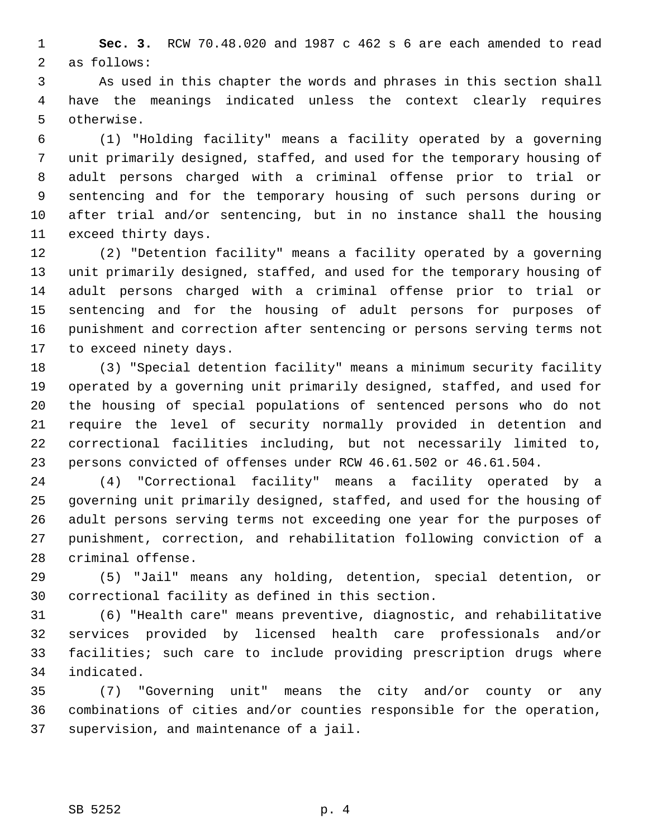1 **Sec. 3.** RCW 70.48.020 and 1987 c 462 s 6 are each amended to read 2 as follows:

 3 As used in this chapter the words and phrases in this section shall 4 have the meanings indicated unless the context clearly requires 5 otherwise.

 6 (1) "Holding facility" means a facility operated by a governing 7 unit primarily designed, staffed, and used for the temporary housing of 8 adult persons charged with a criminal offense prior to trial or 9 sentencing and for the temporary housing of such persons during or 10 after trial and/or sentencing, but in no instance shall the housing 11 exceed thirty days.

12 (2) "Detention facility" means a facility operated by a governing 13 unit primarily designed, staffed, and used for the temporary housing of 14 adult persons charged with a criminal offense prior to trial or 15 sentencing and for the housing of adult persons for purposes of 16 punishment and correction after sentencing or persons serving terms not 17 to exceed ninety days.

18 (3) "Special detention facility" means a minimum security facility 19 operated by a governing unit primarily designed, staffed, and used for 20 the housing of special populations of sentenced persons who do not 21 require the level of security normally provided in detention and 22 correctional facilities including, but not necessarily limited to, 23 persons convicted of offenses under RCW 46.61.502 or 46.61.504.

24 (4) "Correctional facility" means a facility operated by a 25 governing unit primarily designed, staffed, and used for the housing of 26 adult persons serving terms not exceeding one year for the purposes of 27 punishment, correction, and rehabilitation following conviction of a 28 criminal offense.

29 (5) "Jail" means any holding, detention, special detention, or 30 correctional facility as defined in this section.

31 (6) "Health care" means preventive, diagnostic, and rehabilitative 32 services provided by licensed health care professionals and/or 33 facilities; such care to include providing prescription drugs where 34 indicated.

35 (7) "Governing unit" means the city and/or county or any 36 combinations of cities and/or counties responsible for the operation, 37 supervision, and maintenance of a jail.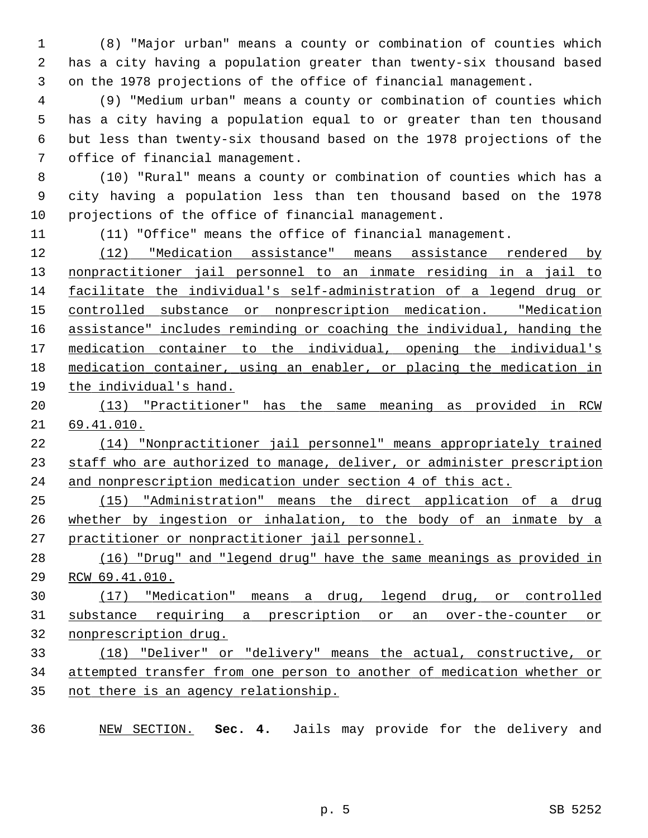1 (8) "Major urban" means a county or combination of counties which 2 has a city having a population greater than twenty-six thousand based 3 on the 1978 projections of the office of financial management.

 4 (9) "Medium urban" means a county or combination of counties which 5 has a city having a population equal to or greater than ten thousand 6 but less than twenty-six thousand based on the 1978 projections of the 7 office of financial management.

 8 (10) "Rural" means a county or combination of counties which has a 9 city having a population less than ten thousand based on the 1978 10 projections of the office of financial management.

11 (11) "Office" means the office of financial management.

 (12) "Medication assistance" means assistance rendered by nonpractitioner jail personnel to an inmate residing in a jail to facilitate the individual's self-administration of a legend drug or controlled substance or nonprescription medication. "Medication assistance" includes reminding or coaching the individual, handing the medication container to the individual, opening the individual's medication container, using an enabler, or placing the medication in the individual's hand.

 (13) "Practitioner" has the same meaning as provided in RCW 69.41.010.

 (14) "Nonpractitioner jail personnel" means appropriately trained 23 staff who are authorized to manage, deliver, or administer prescription and nonprescription medication under section 4 of this act.

 (15) "Administration" means the direct application of a drug whether by ingestion or inhalation, to the body of an inmate by a practitioner or nonpractitioner jail personnel.

 (16) "Drug" and "legend drug" have the same meanings as provided in RCW 69.41.010.

 (17) "Medication" means a drug, legend drug, or controlled substance requiring a prescription or an over-the-counter or nonprescription drug.

 (18) "Deliver" or "delivery" means the actual, constructive, or attempted transfer from one person to another of medication whether or 35 not there is an agency relationship.

NEW SECTION. **Sec. 4.** Jails may provide for the delivery and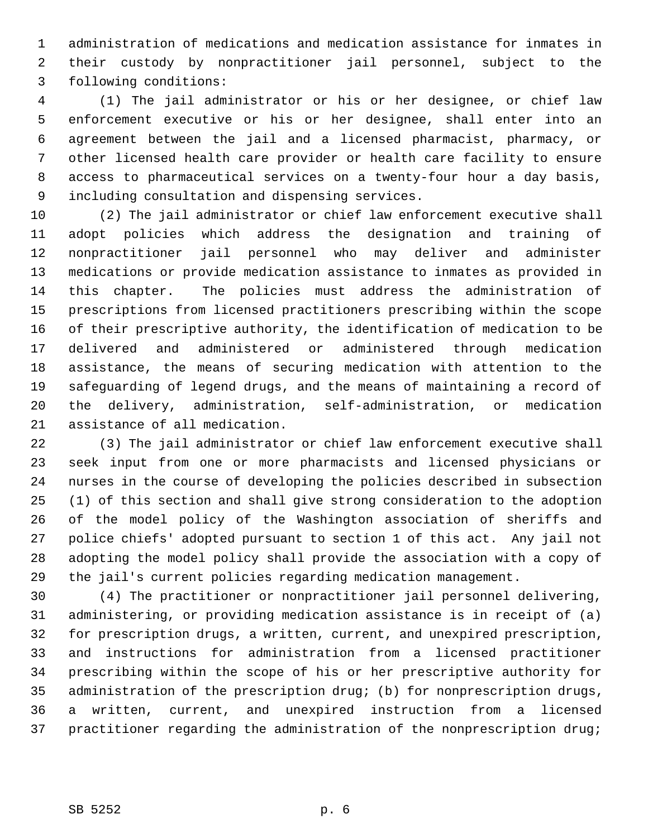1 administration of medications and medication assistance for inmates in 2 their custody by nonpractitioner jail personnel, subject to the 3 following conditions:

 4 (1) The jail administrator or his or her designee, or chief law 5 enforcement executive or his or her designee, shall enter into an 6 agreement between the jail and a licensed pharmacist, pharmacy, or 7 other licensed health care provider or health care facility to ensure 8 access to pharmaceutical services on a twenty-four hour a day basis, 9 including consultation and dispensing services.

10 (2) The jail administrator or chief law enforcement executive shall 11 adopt policies which address the designation and training of 12 nonpractitioner jail personnel who may deliver and administer 13 medications or provide medication assistance to inmates as provided in 14 this chapter. The policies must address the administration of 15 prescriptions from licensed practitioners prescribing within the scope 16 of their prescriptive authority, the identification of medication to be 17 delivered and administered or administered through medication 18 assistance, the means of securing medication with attention to the 19 safeguarding of legend drugs, and the means of maintaining a record of 20 the delivery, administration, self-administration, or medication 21 assistance of all medication.

22 (3) The jail administrator or chief law enforcement executive shall 23 seek input from one or more pharmacists and licensed physicians or 24 nurses in the course of developing the policies described in subsection 25 (1) of this section and shall give strong consideration to the adoption 26 of the model policy of the Washington association of sheriffs and 27 police chiefs' adopted pursuant to section 1 of this act. Any jail not 28 adopting the model policy shall provide the association with a copy of 29 the jail's current policies regarding medication management.

30 (4) The practitioner or nonpractitioner jail personnel delivering, 31 administering, or providing medication assistance is in receipt of (a) 32 for prescription drugs, a written, current, and unexpired prescription, 33 and instructions for administration from a licensed practitioner 34 prescribing within the scope of his or her prescriptive authority for 35 administration of the prescription drug; (b) for nonprescription drugs, 36 a written, current, and unexpired instruction from a licensed 37 practitioner regarding the administration of the nonprescription drug;